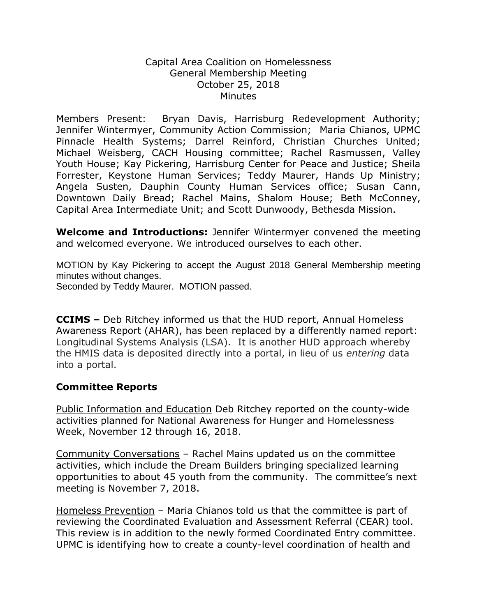## Capital Area Coalition on Homelessness General Membership Meeting October 25, 2018 **Minutes**

Members Present: Bryan Davis, Harrisburg Redevelopment Authority; Jennifer Wintermyer, Community Action Commission; Maria Chianos, UPMC Pinnacle Health Systems; Darrel Reinford, Christian Churches United; Michael Weisberg, CACH Housing committee; Rachel Rasmussen, Valley Youth House; Kay Pickering, Harrisburg Center for Peace and Justice; Sheila Forrester, Keystone Human Services; Teddy Maurer, Hands Up Ministry; Angela Susten, Dauphin County Human Services office; Susan Cann, Downtown Daily Bread; Rachel Mains, Shalom House; Beth McConney, Capital Area Intermediate Unit; and Scott Dunwoody, Bethesda Mission.

**Welcome and Introductions:** Jennifer Wintermyer convened the meeting and welcomed everyone. We introduced ourselves to each other.

MOTION by Kay Pickering to accept the August 2018 General Membership meeting minutes without changes.

Seconded by Teddy Maurer. MOTION passed.

**CCIMS –** Deb Ritchey informed us that the HUD report, Annual Homeless Awareness Report (AHAR), has been replaced by a differently named report: Longitudinal Systems Analysis (LSA). It is another HUD approach whereby the HMIS data is deposited directly into a portal, in lieu of us *entering* data into a portal.

## **Committee Reports**

Public Information and Education Deb Ritchey reported on the county-wide activities planned for National Awareness for Hunger and Homelessness Week, November 12 through 16, 2018.

Community Conversations – Rachel Mains updated us on the committee activities, which include the Dream Builders bringing specialized learning opportunities to about 45 youth from the community. The committee's next meeting is November 7, 2018.

Homeless Prevention - Maria Chianos told us that the committee is part of reviewing the Coordinated Evaluation and Assessment Referral (CEAR) tool. This review is in addition to the newly formed Coordinated Entry committee. UPMC is identifying how to create a county-level coordination of health and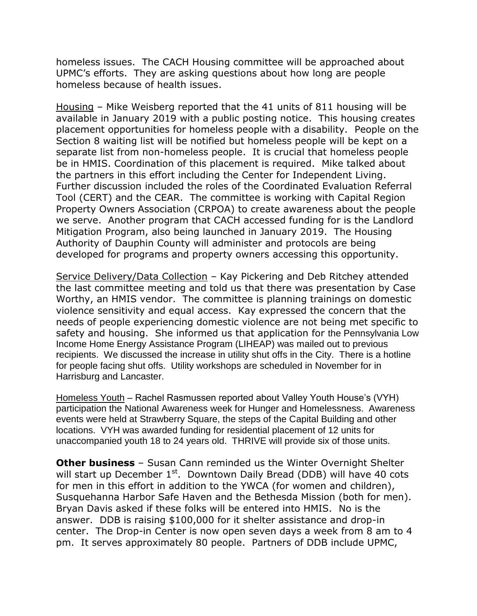homeless issues. The CACH Housing committee will be approached about UPMC's efforts. They are asking questions about how long are people homeless because of health issues.

Housing – Mike Weisberg reported that the 41 units of 811 housing will be available in January 2019 with a public posting notice. This housing creates placement opportunities for homeless people with a disability. People on the Section 8 waiting list will be notified but homeless people will be kept on a separate list from non-homeless people. It is crucial that homeless people be in HMIS. Coordination of this placement is required. Mike talked about the partners in this effort including the Center for Independent Living. Further discussion included the roles of the Coordinated Evaluation Referral Tool (CERT) and the CEAR. The committee is working with Capital Region Property Owners Association (CRPOA) to create awareness about the people we serve. Another program that CACH accessed funding for is the Landlord Mitigation Program, also being launched in January 2019. The Housing Authority of Dauphin County will administer and protocols are being developed for programs and property owners accessing this opportunity.

Service Delivery/Data Collection – Kay Pickering and Deb Ritchey attended the last committee meeting and told us that there was presentation by Case Worthy, an HMIS vendor. The committee is planning trainings on domestic violence sensitivity and equal access. Kay expressed the concern that the needs of people experiencing domestic violence are not being met specific to safety and housing. She informed us that application for the Pennsylvania Low Income Home Energy Assistance Program (LIHEAP) was mailed out to previous recipients. We discussed the increase in utility shut offs in the City. There is a hotline for people facing shut offs. Utility workshops are scheduled in November for in Harrisburg and Lancaster.

Homeless Youth – Rachel Rasmussen reported about Valley Youth House's (VYH) participation the National Awareness week for Hunger and Homelessness. Awareness events were held at Strawberry Square, the steps of the Capital Building and other locations. VYH was awarded funding for residential placement of 12 units for unaccompanied youth 18 to 24 years old. THRIVE will provide six of those units.

**Other business** – Susan Cann reminded us the Winter Overnight Shelter will start up December  $1<sup>st</sup>$ . Downtown Daily Bread (DDB) will have 40 cots for men in this effort in addition to the YWCA (for women and children), Susquehanna Harbor Safe Haven and the Bethesda Mission (both for men). Bryan Davis asked if these folks will be entered into HMIS. No is the answer. DDB is raising \$100,000 for it shelter assistance and drop-in center. The Drop-in Center is now open seven days a week from 8 am to 4 pm. It serves approximately 80 people. Partners of DDB include UPMC,